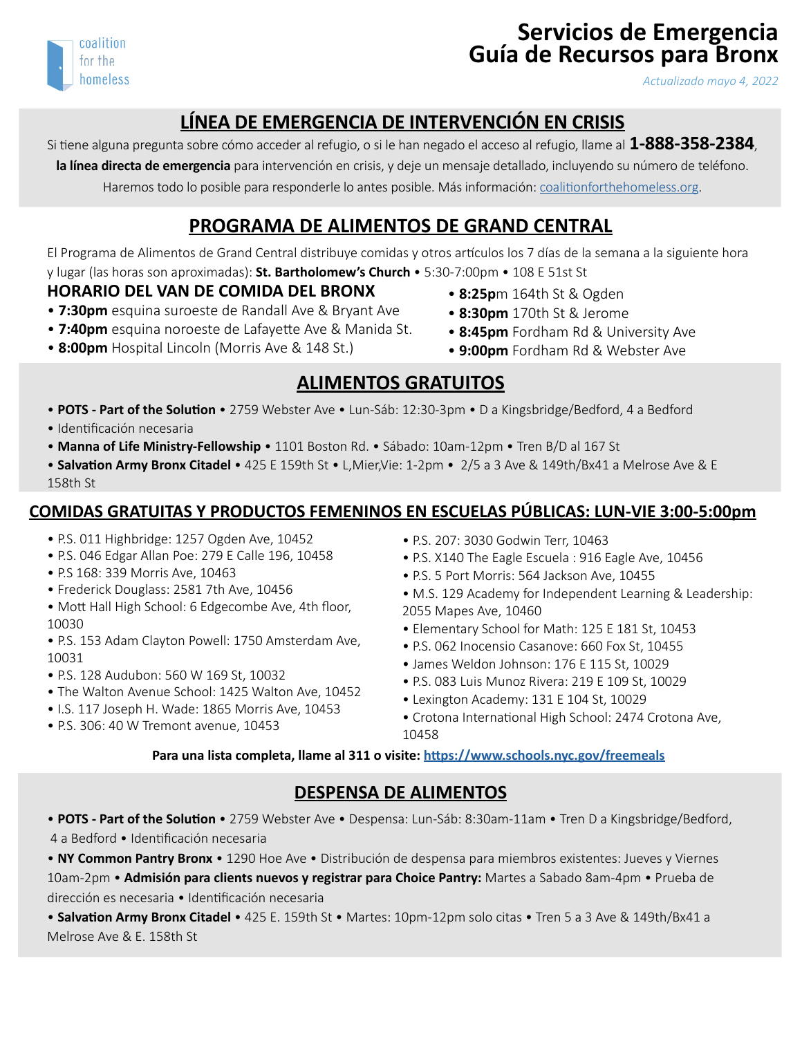

# **Servicios de Emergencia Guía de Recursos para Bronx**

*Actualizado mayo 4, 2022*

# **LÍNEA DE EMERGENCIA DE INTERVENCIÓN EN CRISIS**

Si tiene alguna pregunta sobre cómo acceder al refugio, o si le han negado el acceso al refugio, llame al **1-888-358-2384**,

**la línea directa de emergencia** para intervención en crisis, y deje un mensaje detallado, incluyendo su número de teléfono. Haremos todo lo posible para responderle lo antes posible. Más información: [coalitionforthehomeless.org](http://coalitionforthehomeless.org).

## **PROGRAMA DE ALIMENTOS DE GRAND CENTRAL**

El Programa de Alimentos de Grand Central distribuye comidas y otros artículos los 7 días de la semana a la siguiente hora y lugar (las horas son aproximadas): **St. Bartholomew's Church** • 5:30-7:00pm • 108 E 51st St

#### **HORARIO DEL VAN DE COMIDA DEL BRONX**

- **7:30pm** esquina suroeste de Randall Ave & Bryant Ave
- **7:40pm** esquina noroeste de Lafayette Ave & Manida St.
- **8:00pm** Hospital Lincoln (Morris Ave & 148 St.)
- **8:25p**m 164th St & Ogden
- **8:30pm** 170th St & Jerome
- • **8:45pm** Fordham Rd & University Ave
- **9:00pm** Fordham Rd & Webster Ave

# **ALIMENTOS GRATUITOS**

- • **POTS Part of the Solution** 2759 Webster Ave Lun-Sáb: 12:30-3pm D a Kingsbridge/Bedford, 4 a Bedford
- Identificación necesaria
- **Manna of Life Ministry-Fellowship** 1101 Boston Rd. Sábado: 10am-12pm Tren B/D al 167 St
- **Salvation Army Bronx Citadel**  425 E 159th St L,Mier,Vie: 1-2pm 2/5 a 3 Ave & 149th/Bx41 a Melrose Ave & E 158th St

#### **COMIDAS GRATUITAS Y PRODUCTOS FEMENINOS EN ESCUELAS PÚBLICAS: LUN-VIE 3:00-5:00pm**

- P.S. 011 Highbridge: 1257 Ogden Ave, 10452
- P.S. 046 Edgar Allan Poe: 279 E Calle 196, 10458
- P.S 168: 339 Morris Ave, 10463
- Frederick Douglass: 2581 7th Ave, 10456
- Mott Hall High School: 6 Edgecombe Ave, 4th floor, 10030
- P.S. 153 Adam Clayton Powell: 1750 Amsterdam Ave, 10031
- P.S. 128 Audubon: 560 W 169 St, 10032
- The Walton Avenue School: 1425 Walton Ave, 10452
- I.S. 117 Joseph H. Wade: 1865 Morris Ave, 10453
- P.S. 306: 40 W Tremont avenue, 10453
- P.S. 207: 3030 Godwin Terr, 10463
- P.S. X140 The Eagle Escuela : 916 Eagle Ave, 10456
- P.S. 5 Port Morris: 564 Jackson Ave, 10455
- M.S. 129 Academy for Independent Learning & Leadership: 2055 Mapes Ave, 10460
- Elementary School for Math: 125 E 181 St, 10453
- P.S. 062 Inocensio Casanove: 660 Fox St, 10455
- James Weldon Johnson: 176 E 115 St, 10029
- P.S. 083 Luis Munoz Rivera: 219 E 109 St, 10029
- Lexington Academy: 131 E 104 St, 10029
- Crotona International High School: 2474 Crotona Ave, 10458

**Para una lista completa, llame al 311 o visite: <https://www.schools.nyc.gov/freemeals>**

#### **DESPENSA DE ALIMENTOS**

• **POTS - Part of the Solution** • 2759 Webster Ave • Despensa: Lun-Sáb: 8:30am-11am • Tren D a Kingsbridge/Bedford, 4 a Bedford • Identificación necesaria

• **NY Common Pantry Bronx** • 1290 Hoe Ave • Distribución de despensa para miembros existentes: Jueves y Viernes

10am-2pm • **Admisión para clients nuevos y registrar para Choice Pantry:** Martes a Sabado 8am-4pm • Prueba de dirección es necesaria • Identificación necesaria

• **Salvation Army Bronx Citadel** • 425 E. 159th St • Martes: 10pm-12pm solo citas • Tren 5 a 3 Ave & 149th/Bx41 a Melrose Ave & E. 158th St

- 
-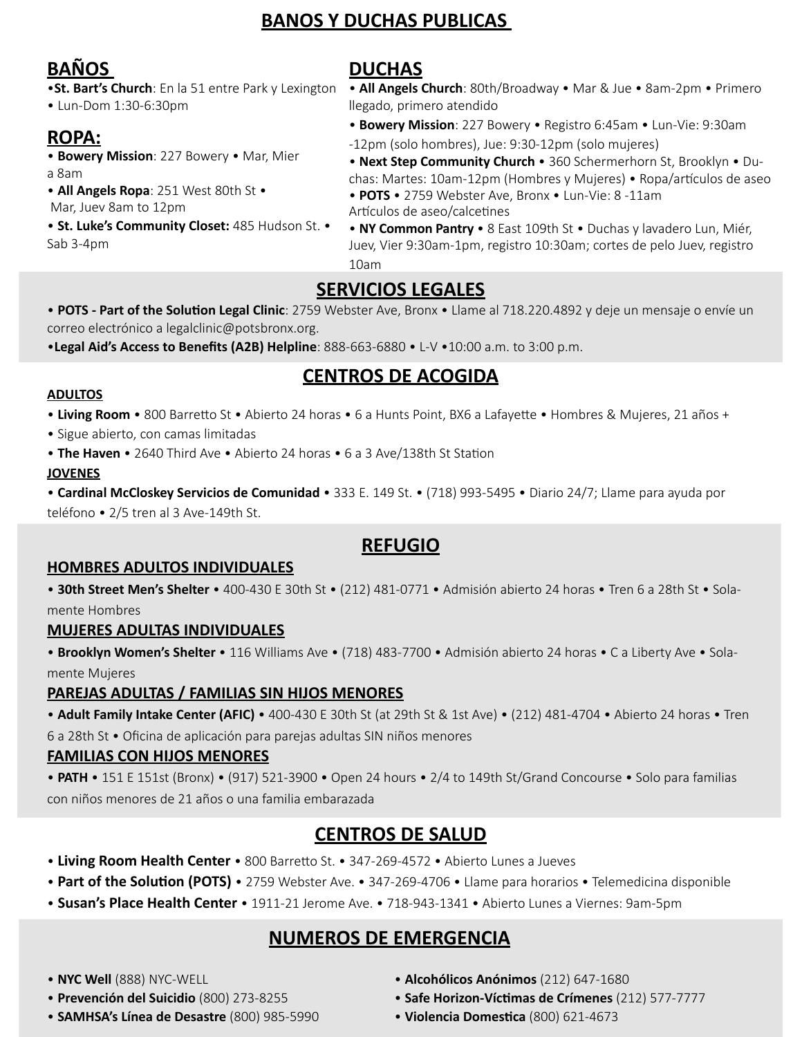## **BANOS Y DUCHAS PUBLICAS**

# **BAÑOS**

•**St. Bart's Church**: En la 51 entre Park y Lexington • Lun-Dom 1:30-6:30pm

# **ROPA:**

• **Bowery Mission**: 227 Bowery • Mar, Mier a 8am

• **All Angels Ropa**: 251 West 80th St •

Mar, Juev 8am to 12pm

• **St. Luke's Community Closet:** 485 Hudson St. • Sab 3-4pm

## **DUCHAS**

- • **All Angels Church**: 80th/Broadway Mar & Jue 8am-2pm Primero llegado, primero atendido
- • **Bowery Mission**: 227 Bowery Registro 6:45am Lun-Vie: 9:30am
- -12pm (solo hombres), Jue: 9:30-12pm (solo mujeres)
- **Next Step Community Church** 360 Schermerhorn St, Brooklyn Duchas: Martes: 10am-12pm (Hombres y Mujeres) • Ropa/artículos de aseo
- **POTS**  2759 Webster Ave, Bronx Lun-Vie: 8 -11am Artículos de aseo/calcetines

• **NY Common Pantry** • 8 East 109th St • Duchas y lavadero Lun, Miér, Juev, Vier 9:30am-1pm, registro 10:30am; cortes de pelo Juev, registro 10am

# **SERVICIOS LEGALES**

• **POTS - Part of the Solution Legal Clinic**: 2759 Webster Ave, Bronx • Llame al 718.220.4892 y deje un mensaje o envíe un correo electrónico a legalclinic@potsbronx.org.

•**Legal Aid's Access to Benefits (A2B) Helpline**: 888-663-6880 • L-V •10:00 a.m. to 3:00 p.m.

# **CENTROS DE ACOGIDA**

#### **ADULTOS**

• **Living Room** • 800 Barretto St • Abierto 24 horas • 6 a Hunts Point, BX6 a Lafayette • Hombres & Mujeres, 21 años +

- Sigue abierto, con camas limitadas
- **The Haven**  2640 Third Ave Abierto 24 horas 6 a 3 Ave/138th St Station

**JOVENES**

• **Cardinal McCloskey Servicios de Comunidad** • 333 E. 149 St. • (718) 993-5495 • Diario 24/7; Llame para ayuda por teléfono • 2/5 tren al 3 Ave-149th St.

## **REFUGIO**

#### **HOMBRES ADULTOS INDIVIDUALES**

• **30th Street Men's Shelter** • 400-430 E 30th St • (212) 481-0771 • Admisión abierto 24 horas • Tren 6 a 28th St • Solamente Hombres

#### **MUJERES ADULTAS INDIVIDUALES**

• **Brooklyn Women's Shelter** • 116 Williams Ave • (718) 483-7700 • Admisión abierto 24 horas • C a Liberty Ave • Solamente Mujeres

#### **PAREJAS ADULTAS / FAMILIAS SIN HIJOS MENORES**

• **Adult Family Intake Center (AFIC)** • 400-430 E 30th St (at 29th St & 1st Ave) • (212) 481-4704 • Abierto 24 horas • Tren 6 a 28th St • Oficina de aplicación para parejas adultas SIN niños menores

#### **FAMILIAS CON HIJOS MENORES**

• **PATH** • 151 E 151st (Bronx) • (917) 521-3900 • Open 24 hours • 2/4 to 149th St/Grand Concourse • Solo para familias con niños menores de 21 años o una familia embarazada

## **CENTROS DE SALUD**

- **Living Room Health Center**  800 Barretto St. 347-269-4572 Abierto Lunes a Jueves
- **Part of the Solution (POTS)**  2759 Webster Ave. 347-269-4706 Llame para horarios Telemedicina disponible
- • **Susan's Place Health Center**  1911-21 Jerome Ave. 718-943-1341 Abierto Lunes a Viernes: 9am-5pm

# **NUMEROS DE EMERGENCIA**

- **NYC Well** (888) NYC-WELL
- • **Prevención del Suicidio** (800) 273-8255
- **SAMHSA's Línea de Desastre** (800) 985-5990
- **Alcohólicos Anónimos** (212) 647-1680
- **Safe Horizon-Víctimas de Crímenes** (212) 577-7777
- **Violencia Domestica** (800) 621-4673